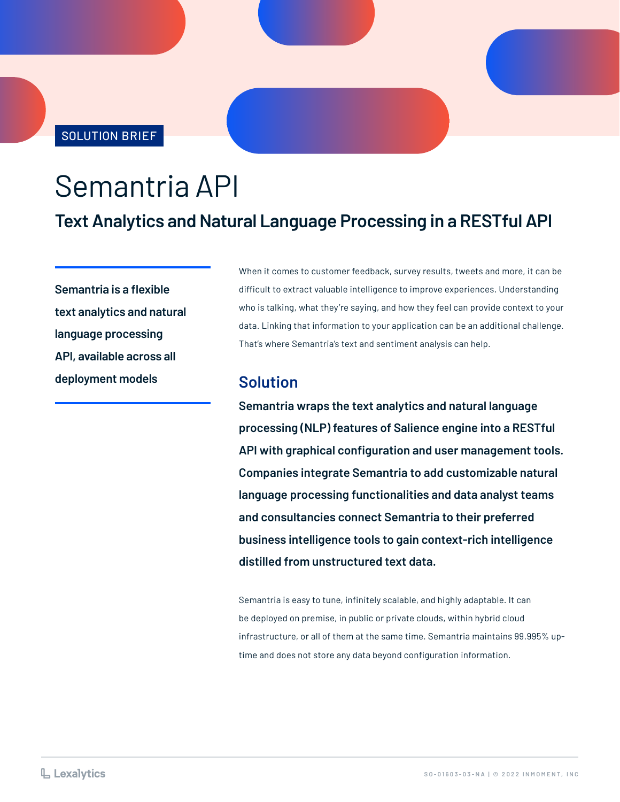SOLUTION BRIEF

# Semantria API

# **Text Analytics and Natural Language Processing in a RESTful API**

**Semantria is a flexible text analytics and natural language processing API, available across all deployment models**

When it comes to customer feedback, survey results, tweets and more, it can be difficult to extract valuable intelligence to improve experiences. Understanding who is talking, what they're saying, and how they feel can provide context to your data. Linking that information to your application can be an additional challenge. That's where Semantria's text and sentiment analysis can help.

#### **Solution**

**Semantria wraps the text analytics and natural language processing (NLP) features of Salience engine into a RESTful API with graphical configuration and user management tools. Companies integrate Semantria to add customizable natural language processing functionalities and data analyst teams and consultancies connect Semantria to their preferred business intelligence tools to gain context-rich intelligence distilled from unstructured text data.**

Semantria is easy to tune, infinitely scalable, and highly adaptable. It can be deployed on premise, in public or private clouds, within hybrid cloud infrastructure, or all of them at the same time. Semantria maintains 99.995% uptime and does not store any data beyond configuration information.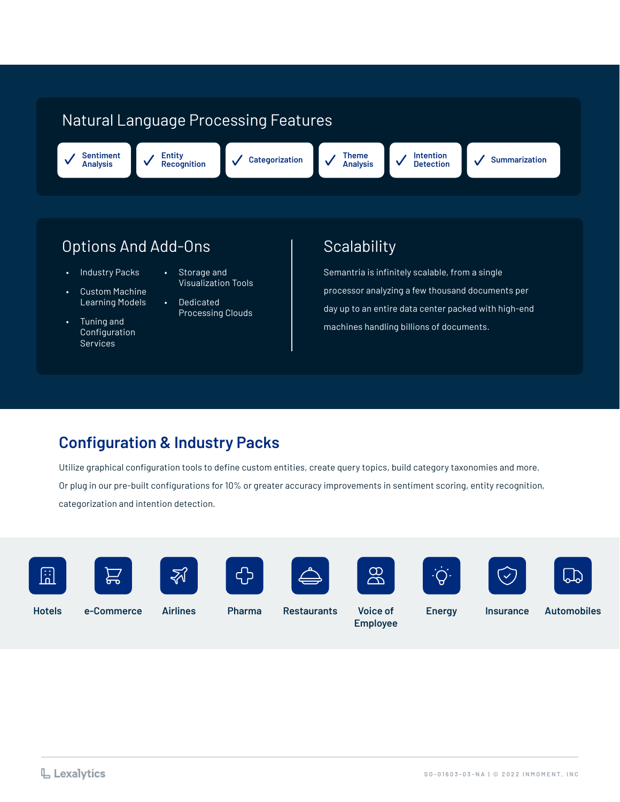# Natural Language Processing Features

**Sentiment Analysis**

**Entity Recognition Categorization Theme** 

**Analysis**

**Intention** 

**Summarization** 

# Options And Add-Ons (Scalability

- Industry Packs
- Custom Machine Learning Models
- Tuning and Configuration Services
- Storage and Visualization Tools
- Dedicated Processing Clouds

Semantria is infinitely scalable, from a single processor analyzing a few thousand documents per day up to an entire data center packed with high-end machines handling billions of documents.

## **Configuration & Industry Packs**

Utilize graphical configuration tools to define custom entities, create query topics, build category taxonomies and more. Or plug in our pre-built configurations for 10% or greater accuracy improvements in sentiment scoring, entity recognition, categorization and intention detection.



























**Hotels Energy Insurance Automobiles**